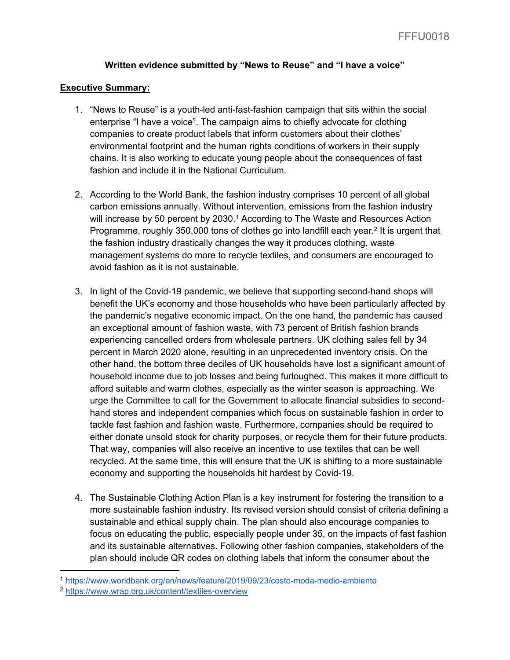### **Written evidence submitted by "News to Reuse" and "I have a voice"**

#### **Executive Summary:**

- 1. "News to Reuse" is a youth-led anti-fast-fashion campaign that sits within the social enterprise "I have a voice". The campaign aims to chiefly advocate for clothing companies to create product labels that inform customers about their clothes' environmental footprint and the human rights conditions of workers in their supply chains. It is also working to educate young people about the consequences of fast fashion and include it in the National Curriculum.
- 2. According to the World Bank, the fashion industry comprises 10 percent of all global carbon emissions annually. Without intervention, emissions from the fashion industry will increase by 50 percent by 2030.<sup>1</sup> According to The Waste and Resources Action Programme, roughly 350,000 tons of clothes go into landfill each year.<sup>2</sup> It is urgent that the fashion industry drastically changes the way it produces clothing, waste management systems do more to recycle textiles, and consumers are encouraged to avoid fashion as it is not sustainable.
- 3. In light of the Covid-19 pandemic, we believe that supporting second-hand shops will benefit the UK's economy and those households who have been particularly affected by the pandemic's negative economic impact. On the one hand, the pandemic has caused an exceptional amount of fashion waste, with 73 percent of British fashion brands experiencing cancelled orders from wholesale partners. UK clothing sales fell by 34 percent in March 2020 alone, resulting in an unprecedented inventory crisis. On the other hand, the bottom three deciles of UK households have lost a significant amount of household income due to job losses and being furloughed. This makes it more difficult to afford suitable and warm clothes, especially as the winter season is approaching. We urge the Committee to call for the Government to allocate financial subsidies to secondhand stores and independent companies which focus on sustainable fashion in order to tackle fast fashion and fashion waste. Furthermore, companies should be required to either donate unsold stock for charity purposes, or recycle them for their future products. That way, companies will also receive an incentive to use textiles that can be well recycled. At the same time, this will ensure that the UK is shifting to a more sustainable economy and supporting the households hit hardest by Covid-19.
- 4. The Sustainable Clothing Action Plan is a key instrument for fostering the transition to a more sustainable fashion industry. Its revised version should consist of criteria defining a sustainable and ethical supply chain. The plan should also encourage companies to focus on educating the public, especially people under 35, on the impacts of fast fashion and its sustainable alternatives. Following other fashion companies, stakeholders of the plan should include QR codes on clothing labels that inform the consumer about the

<sup>1</sup> <https://www.worldbank.org/en/news/feature/2019/09/23/costo-moda-medio-ambiente>

<sup>2</sup> <https://www.wrap.org.uk/content/textiles-overview>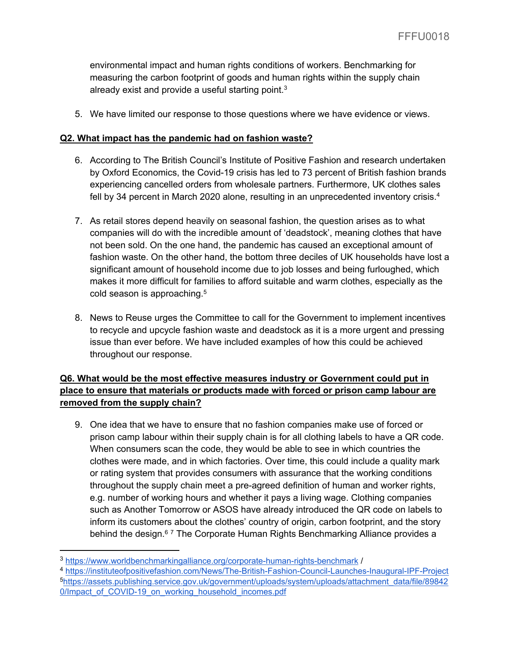environmental impact and human rights conditions of workers. Benchmarking for measuring the carbon footprint of goods and human rights within the supply chain already exist and provide a useful starting point.<sup>3</sup>

5. We have limited our response to those questions where we have evidence or views.

### **Q2. What impact has the pandemic had on fashion waste?**

- 6. According to The British Council's Institute of Positive Fashion and research undertaken by Oxford Economics, the Covid-19 crisis has led to 73 percent of British fashion brands experiencing cancelled orders from wholesale partners. Furthermore, UK clothes sales fell by 34 percent in March 2020 alone, resulting in an unprecedented inventory crisis.<sup>4</sup>
- 7. As retail stores depend heavily on seasonal fashion, the question arises as to what companies will do with the incredible amount of 'deadstock', meaning clothes that have not been sold. On the one hand, the pandemic has caused an exceptional amount of fashion waste. On the other hand, the bottom three deciles of UK households have lost a significant amount of household income due to job losses and being furloughed, which makes it more difficult for families to afford suitable and warm clothes, especially as the cold season is approaching.<sup>5</sup>
- 8. News to Reuse urges the Committee to call for the Government to implement incentives to recycle and upcycle fashion waste and deadstock as it is a more urgent and pressing issue than ever before. We have included examples of how this could be achieved throughout our response.

# **Q6. What would be the most effective measures industry or Government could put in place to ensure that materials or products made with forced or prison camp labour are removed from the supply chain?**

9. One idea that we have to ensure that no fashion companies make use of forced or prison camp labour within their supply chain is for all clothing labels to have a QR code. When consumers scan the code, they would be able to see in which countries the clothes were made, and in which factories. Over time, this could include a quality mark or rating system that provides consumers with assurance that the working conditions throughout the supply chain meet a pre-agreed definition of human and worker rights, e.g. number of working hours and whether it pays a living wage. Clothing companies such as Another Tomorrow or ASOS have already introduced the QR code on labels to inform its customers about the clothes' country of origin, carbon footprint, and the story behind the design.<sup>67</sup> The Corporate Human Rights Benchmarking Alliance provides a

<sup>3</sup> <https://www.worldbenchmarkingalliance.org/corporate-human-rights-benchmark> /

<sup>4</sup> <https://instituteofpositivefashion.com/News/The-British-Fashion-Council-Launches-Inaugural-IPF-Project> <sup>5</sup>[https://assets.publishing.service.gov.uk/government/uploads/system/uploads/attachment\\_data/file/89842](https://assets.publishing.service.gov.uk/government/uploads/system/uploads/attachment_data/file/898420/Impact_of_COVID-19_on_working_household_incomes.pdf) 0/Impact of COVID-19 on working household incomes.pdf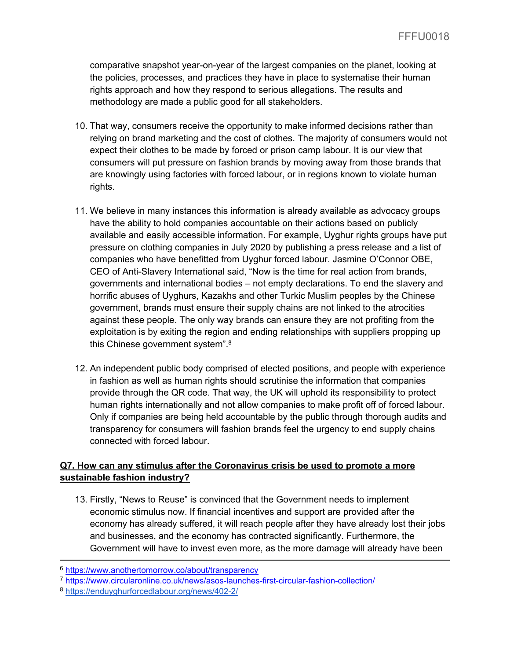comparative snapshot year-on-year of the largest companies on the planet, looking at the policies, processes, and practices they have in place to systematise their human rights approach and how they respond to serious allegations. The results and methodology are made a public good for all stakeholders.

- 10. That way, consumers receive the opportunity to make informed decisions rather than relying on brand marketing and the cost of clothes. The majority of consumers would not expect their clothes to be made by forced or prison camp labour. It is our view that consumers will put pressure on fashion brands by moving away from those brands that are knowingly using factories with forced labour, or in regions known to violate human rights.
- 11. We believe in many instances this information is already available as advocacy groups have the ability to hold companies accountable on their actions based on publicly available and easily accessible information. For example, Uyghur rights groups have put pressure on clothing companies in July 2020 by publishing a press release and a list of companies who have benefitted from Uyghur forced labour. Jasmine O'Connor OBE, CEO of Anti-Slavery International said, "Now is the time for real action from brands, governments and international bodies – not empty declarations. To end the slavery and horrific abuses of Uyghurs, Kazakhs and other Turkic Muslim peoples by the Chinese government, brands must ensure their supply chains are not linked to the atrocities against these people. The only way brands can ensure they are not profiting from the exploitation is by exiting the region and ending relationships with suppliers propping up this Chinese government system".<sup>8</sup>
- 12. An independent public body comprised of elected positions, and people with experience in fashion as well as human rights should scrutinise the information that companies provide through the QR code. That way, the UK will uphold its responsibility to protect human rights internationally and not allow companies to make profit off of forced labour. Only if companies are being held accountable by the public through thorough audits and transparency for consumers will fashion brands feel the urgency to end supply chains connected with forced labour.

## **Q7. How can any stimulus after the Coronavirus crisis be used to promote a more sustainable fashion industry?**

13. Firstly, "News to Reuse" is convinced that the Government needs to implement economic stimulus now. If financial incentives and support are provided after the economy has already suffered, it will reach people after they have already lost their jobs and businesses, and the economy has contracted significantly. Furthermore, the Government will have to invest even more, as the more damage will already have been

<sup>6</sup> <https://www.anothertomorrow.co/about/transparency>

<sup>7</sup> <https://www.circularonline.co.uk/news/asos-launches-first-circular-fashion-collection/>

<sup>8</sup> <https://enduyghurforcedlabour.org/news/402-2/>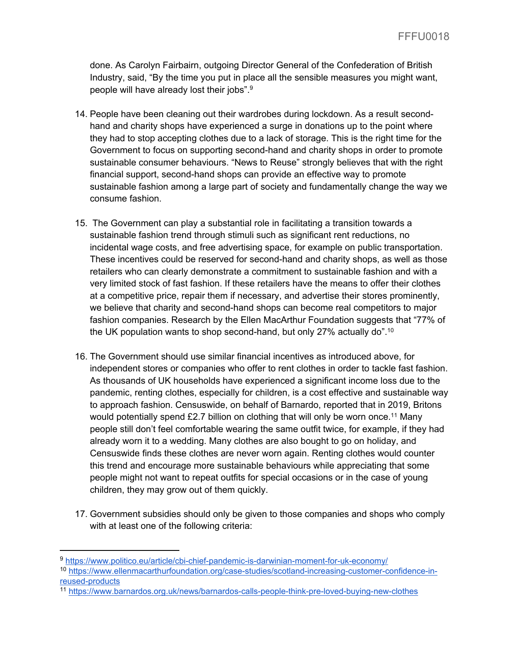done. As Carolyn Fairbairn, outgoing Director General of the Confederation of British Industry, said, "By the time you put in place all the sensible measures you might want, people will have already lost their jobs".<sup>9</sup>

- 14. People have been cleaning out their wardrobes during lockdown. As a result secondhand and charity shops have experienced a surge in donations up to the point where they had to stop accepting clothes due to a lack of storage. This is the right time for the Government to focus on supporting second-hand and charity shops in order to promote sustainable consumer behaviours. "News to Reuse" strongly believes that with the right financial support, second-hand shops can provide an effective way to promote sustainable fashion among a large part of society and fundamentally change the way we consume fashion.
- 15. The Government can play a substantial role in facilitating a transition towards a sustainable fashion trend through stimuli such as significant rent reductions, no incidental wage costs, and free advertising space, for example on public transportation. These incentives could be reserved for second-hand and charity shops, as well as those retailers who can clearly demonstrate a commitment to sustainable fashion and with a very limited stock of fast fashion. If these retailers have the means to offer their clothes at a competitive price, repair them if necessary, and advertise their stores prominently, we believe that charity and second-hand shops can become real competitors to major fashion companies. Research by the Ellen MacArthur Foundation suggests that "77% of the UK population wants to shop second-hand, but only 27% actually do".<sup>10</sup>
- 16. The Government should use similar financial incentives as introduced above, for independent stores or companies who offer to rent clothes in order to tackle fast fashion. As thousands of UK households have experienced a significant income loss due to the pandemic, renting clothes, especially for children, is a cost effective and sustainable way to approach fashion. Censuswide, on behalf of Barnardo, reported that in 2019, Britons would potentially spend £2.7 billion on clothing that will only be worn once.<sup>11</sup> Many people still don't feel comfortable wearing the same outfit twice, for example, if they had already worn it to a wedding. Many clothes are also bought to go on holiday, and Censuswide finds these clothes are never worn again. Renting clothes would counter this trend and encourage more sustainable behaviours while appreciating that some people might not want to repeat outfits for special occasions or in the case of young children, they may grow out of them quickly.
- 17. Government subsidies should only be given to those companies and shops who comply with at least one of the following criteria:

<sup>9</sup> <https://www.politico.eu/article/cbi-chief-pandemic-is-darwinian-moment-for-uk-economy/>

<sup>10</sup> [https://www.ellenmacarthurfoundation.org/case-studies/scotland-increasing-customer-confidence-in](https://www.ellenmacarthurfoundation.org/case-studies/scotland-increasing-customer-confidence-in-reused-products)[reused-products](https://www.ellenmacarthurfoundation.org/case-studies/scotland-increasing-customer-confidence-in-reused-products)

<sup>11</sup> <https://www.barnardos.org.uk/news/barnardos-calls-people-think-pre-loved-buying-new-clothes>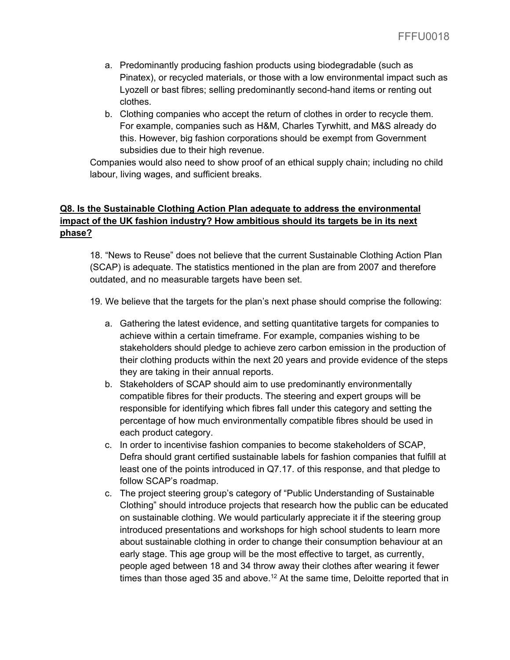- a. Predominantly producing fashion products using biodegradable (such as Pinatex), or recycled materials, or those with a low environmental impact such as Lyozell or bast fibres; selling predominantly second-hand items or renting out clothes.
- b. Clothing companies who accept the return of clothes in order to recycle them. For example, companies such as H&M, Charles Tyrwhitt, and M&S already do this. However, big fashion corporations should be exempt from Government subsidies due to their high revenue.

Companies would also need to show proof of an ethical supply chain; including no child labour, living wages, and sufficient breaks.

# **Q8. Is the Sustainable Clothing Action Plan adequate to address the environmental impact of the UK fashion industry? How ambitious should its targets be in its next phase?**

18. "News to Reuse" does not believe that the current Sustainable Clothing Action Plan (SCAP) is adequate. The statistics mentioned in the plan are from 2007 and therefore outdated, and no measurable targets have been set.

19. We believe that the targets for the plan's next phase should comprise the following:

- a. Gathering the latest evidence, and setting quantitative targets for companies to achieve within a certain timeframe. For example, companies wishing to be stakeholders should pledge to achieve zero carbon emission in the production of their clothing products within the next 20 years and provide evidence of the steps they are taking in their annual reports.
- b. Stakeholders of SCAP should aim to use predominantly environmentally compatible fibres for their products. The steering and expert groups will be responsible for identifying which fibres fall under this category and setting the percentage of how much environmentally compatible fibres should be used in each product category.
- c. In order to incentivise fashion companies to become stakeholders of SCAP, Defra should grant certified sustainable labels for fashion companies that fulfill at least one of the points introduced in Q7.17. of this response, and that pledge to follow SCAP's roadmap.
- c. The project steering group's category of "Public Understanding of Sustainable Clothing" should introduce projects that research how the public can be educated on sustainable clothing. We would particularly appreciate it if the steering group introduced presentations and workshops for high school students to learn more about sustainable clothing in order to change their consumption behaviour at an early stage. This age group will be the most effective to target, as currently, people aged between 18 and 34 throw away their clothes after wearing it fewer times than those aged 35 and above.<sup>12</sup> At the same time, Deloitte reported that in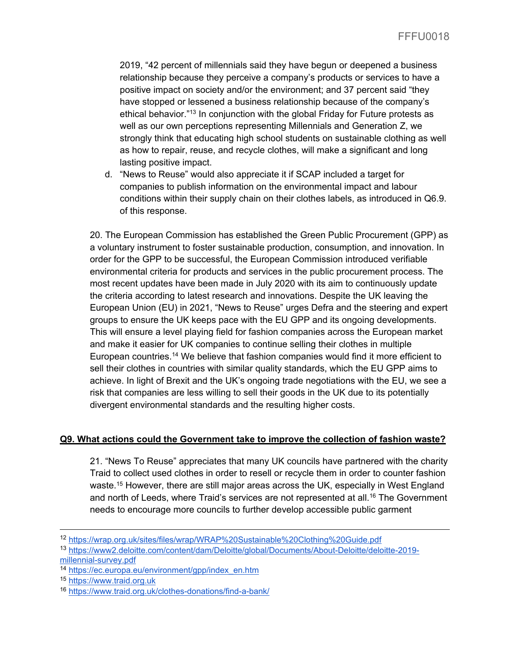2019, "42 percent of millennials said they have begun or deepened a business relationship because they perceive a company's products or services to have a positive impact on society and/or the environment; and 37 percent said "they have stopped or lessened a business relationship because of the company's ethical behavior."<sup>13</sup> In conjunction with the global Friday for Future protests as well as our own perceptions representing Millennials and Generation Z, we strongly think that educating high school students on sustainable clothing as well as how to repair, reuse, and recycle clothes, will make a significant and long lasting positive impact.

d. "News to Reuse" would also appreciate it if SCAP included a target for companies to publish information on the environmental impact and labour conditions within their supply chain on their clothes labels, as introduced in Q6.9. of this response.

20. The European Commission has established the Green Public Procurement (GPP) as a voluntary instrument to foster sustainable production, consumption, and innovation. In order for the GPP to be successful, the European Commission introduced verifiable environmental criteria for products and services in the public procurement process. The most recent updates have been made in July 2020 with its aim to continuously update the criteria according to latest research and innovations. Despite the UK leaving the European Union (EU) in 2021, "News to Reuse" urges Defra and the steering and expert groups to ensure the UK keeps pace with the EU GPP and its ongoing developments. This will ensure a level playing field for fashion companies across the European market and make it easier for UK companies to continue selling their clothes in multiple European countries.<sup>14</sup> We believe that fashion companies would find it more efficient to sell their clothes in countries with similar quality standards, which the EU GPP aims to achieve. In light of Brexit and the UK's ongoing trade negotiations with the EU, we see a risk that companies are less willing to sell their goods in the UK due to its potentially divergent environmental standards and the resulting higher costs.

#### **Q9. What actions could the Government take to improve the collection of fashion waste?**

21. "News To Reuse" appreciates that many UK councils have partnered with the charity Traid to collect used clothes in order to resell or recycle them in order to counter fashion waste.<sup>15</sup> However, there are still major areas across the UK, especially in West England and north of Leeds, where Traid's services are not represented at all.<sup>16</sup> The Government needs to encourage more councils to further develop accessible public garment

<sup>12</sup> <https://wrap.org.uk/sites/files/wrap/WRAP%20Sustainable%20Clothing%20Guide.pdf>

<sup>13</sup> [https://www2.deloitte.com/content/dam/Deloitte/global/Documents/About-Deloitte/deloitte-2019](https://www2.deloitte.com/content/dam/Deloitte/global/Documents/About-Deloitte/deloitte-2019-millennial-survey.pdf) [millennial-survey.pdf](https://www2.deloitte.com/content/dam/Deloitte/global/Documents/About-Deloitte/deloitte-2019-millennial-survey.pdf)

<sup>14</sup> [https://ec.europa.eu/environment/gpp/index\\_en.htm](https://ec.europa.eu/environment/gpp/index_en.htm) 

<sup>15</sup> [https://www.traid.org.uk](https://www.traid.org.uk/)

<sup>16</sup> <https://www.traid.org.uk/clothes-donations/find-a-bank/>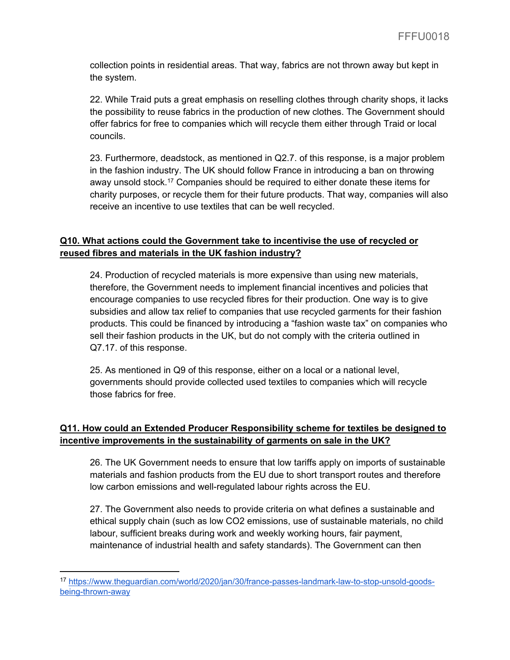collection points in residential areas. That way, fabrics are not thrown away but kept in the system.

22. While Traid puts a great emphasis on reselling clothes through charity shops, it lacks the possibility to reuse fabrics in the production of new clothes. The Government should offer fabrics for free to companies which will recycle them either through Traid or local councils.

23. Furthermore, deadstock, as mentioned in Q2.7. of this response, is a major problem in the fashion industry. The UK should follow France in introducing a ban on throwing away unsold stock.<sup>17</sup> Companies should be required to either donate these items for charity purposes, or recycle them for their future products. That way, companies will also receive an incentive to use textiles that can be well recycled.

### **Q10. What actions could the Government take to incentivise the use of recycled or reused fibres and materials in the UK fashion industry?**

24. Production of recycled materials is more expensive than using new materials, therefore, the Government needs to implement financial incentives and policies that encourage companies to use recycled fibres for their production. One way is to give subsidies and allow tax relief to companies that use recycled garments for their fashion products. This could be financed by introducing a "fashion waste tax" on companies who sell their fashion products in the UK, but do not comply with the criteria outlined in Q7.17. of this response.

25. As mentioned in Q9 of this response, either on a local or a national level, governments should provide collected used textiles to companies which will recycle those fabrics for free.

# **Q11. How could an Extended Producer Responsibility scheme for textiles be designed to incentive improvements in the sustainability of garments on sale in the UK?**

26. The UK Government needs to ensure that low tariffs apply on imports of sustainable materials and fashion products from the EU due to short transport routes and therefore low carbon emissions and well-regulated labour rights across the EU.

27. The Government also needs to provide criteria on what defines a sustainable and ethical supply chain (such as low CO2 emissions, use of sustainable materials, no child labour, sufficient breaks during work and weekly working hours, fair payment, maintenance of industrial health and safety standards). The Government can then

<sup>17</sup> [https://www.theguardian.com/world/2020/jan/30/france-passes-landmark-law-to-stop-unsold-goods](https://www.theguardian.com/world/2020/jan/30/france-passes-landmark-law-to-stop-unsold-goods-being-thrown-away)[being-thrown-away](https://www.theguardian.com/world/2020/jan/30/france-passes-landmark-law-to-stop-unsold-goods-being-thrown-away)